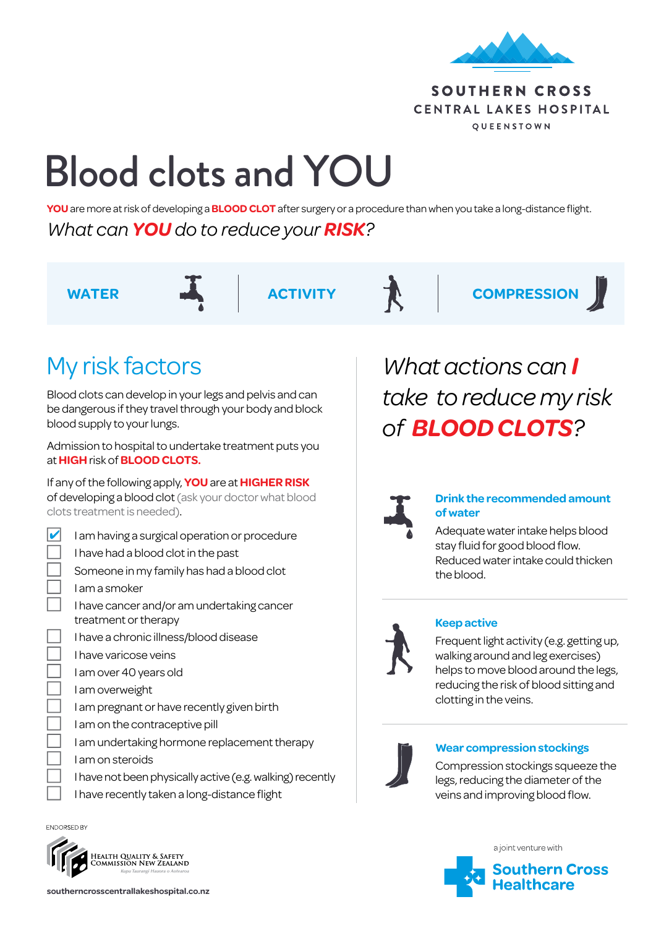

### SOUTHERN CROSS CENTRAL LAKES HOSPITAL QUEENSTOWN

# Blood clots and YOU

**YOU** are more at risk of developing a **BLOOD CLOT** after surgery or a procedure than when you take a long-distance flight. *What can YOU do to reduce your RISK?*



WATER **ACTIVITY TV** COMPRESSION

## My risk factors

Blood clots can develop in your legs and pelvis and can be dangerous if they travel through your body and block blood supply to your lungs.

Admission to hospital to undertake treatment puts you at **HIGH** risk of **BLOOD CLOTS.**

If any of the following apply, **YOU** are at **HIGHER RISK** of developing a blood clot (ask your doctor what blood clots treatment is needed).

- $\triangleright$  I am having a surgical operation or procedure
	- I have had a blood clot in the past
	- Someone in my family has had a blood clot
	- I am a smoker
	- I have cancer and/or am undertaking cancer treatment or therapy
	- n I have a chronic illness/blood disease
	- I have varicose veins
	- I am over 40 years old
	- I am overweight
	- I am pregnant or have recently given birth
	- I am on the contraceptive pill
	- I am undertaking hormone replacement therapy
	- I am on steroids
	- I have not been physically active (e.g. walking) recently
	- I have recently taken a long-distance flight

ENDORSED BY



*What actions can I take to reduce my risk of BLOOD CLOTS?*



#### **Drink the recommended amount of water**

Adequate water intake helps blood stay fluid for good blood flow. Reduced water intake could thicken the blood.



#### **Keep active**

Frequent light activity (e.g. getting up, walking around and leg exercises) helps to move blood around the legs, reducing the risk of blood sitting and clotting in the veins.



#### **Wear compression stockings**

Compression stockings squeeze the legs, reducing the diameter of the veins and improving blood flow.



**southerncrosscentrallakeshospital.co.nz**